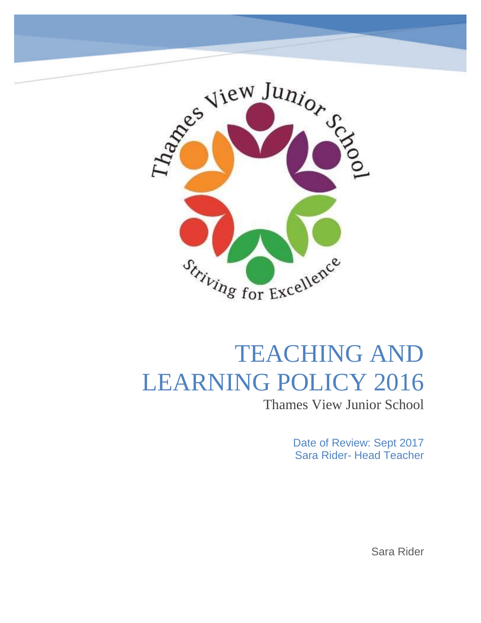

# TEACHING AND LEARNING POLICY 2016

Thames View Junior School

Date of Review: Sept 2017 Sara Rider- Head Teacher

Sara Rider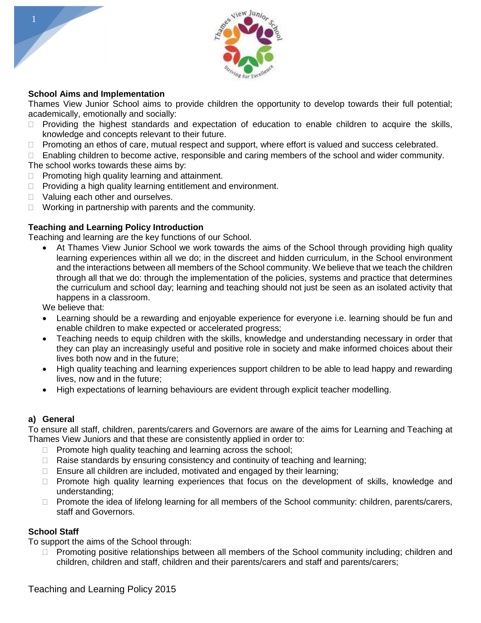



#### **School Aims and Implementation**

Thames View Junior School aims to provide children the opportunity to develop towards their full potential; academically, emotionally and socially:

- $\Box$  Providing the highest standards and expectation of education to enable children to acquire the skills, knowledge and concepts relevant to their future.
- $\Box$  Promoting an ethos of care, mutual respect and support, where effort is valued and success celebrated.
- □ Enabling children to become active, responsible and caring members of the school and wider community. The school works towards these aims by:
- $\Box$  Promoting high quality learning and attainment.
- $\Box$  Providing a high quality learning entitlement and environment.
- □ Valuing each other and ourselves.
- $\Box$  Working in partnership with parents and the community.

#### **Teaching and Learning Policy Introduction**

Teaching and learning are the key functions of our School.

 At Thames View Junior School we work towards the aims of the School through providing high quality learning experiences within all we do; in the discreet and hidden curriculum, in the School environment and the interactions between all members of the School community. We believe that we teach the children through all that we do: through the implementation of the policies, systems and practice that determines the curriculum and school day; learning and teaching should not just be seen as an isolated activity that happens in a classroom.

We believe that:

- Learning should be a rewarding and enjoyable experience for everyone i.e. learning should be fun and enable children to make expected or accelerated progress;
- Teaching needs to equip children with the skills, knowledge and understanding necessary in order that they can play an increasingly useful and positive role in society and make informed choices about their lives both now and in the future;
- High quality teaching and learning experiences support children to be able to lead happy and rewarding lives, now and in the future;
- High expectations of learning behaviours are evident through explicit teacher modelling.

#### **a) General**

To ensure all staff, children, parents/carers and Governors are aware of the aims for Learning and Teaching at Thames View Juniors and that these are consistently applied in order to:

- $\Box$  Promote high quality teaching and learning across the school;
- $\Box$  Raise standards by ensuring consistency and continuity of teaching and learning;
- $\Box$  Ensure all children are included, motivated and engaged by their learning;
- $\Box$  Promote high quality learning experiences that focus on the development of skills, knowledge and understanding;
- □ Promote the idea of lifelong learning for all members of the School community: children, parents/carers, staff and Governors.

#### **School Staff**

To support the aims of the School through:

 $\Box$  Promoting positive relationships between all members of the School community including; children and children, children and staff, children and their parents/carers and staff and parents/carers;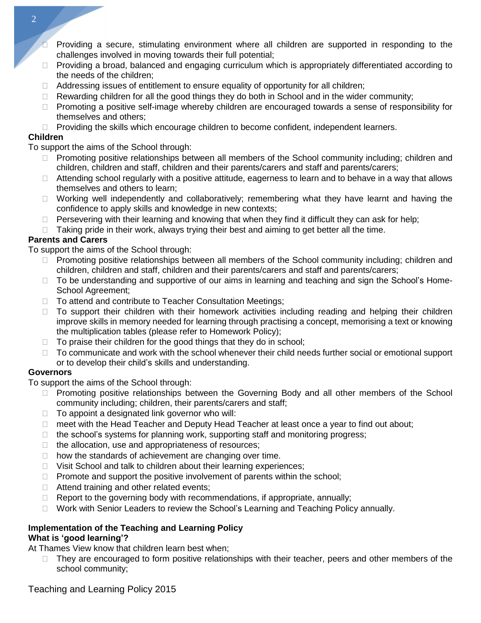- Providing a secure, stimulating environment where all children are supported in responding to the challenges involved in moving towards their full potential;
- $\Box$  Providing a broad, balanced and engaging curriculum which is appropriately differentiated according to the needs of the children;
- $\Box$  Addressing issues of entitlement to ensure equality of opportunity for all children;
- $\Box$  Rewarding children for all the good things they do both in School and in the wider community;
- $\Box$  Promoting a positive self-image whereby children are encouraged towards a sense of responsibility for themselves and others;
- $\Box$  Providing the skills which encourage children to become confident, independent learners.

# **Children**

To support the aims of the School through:

- $\Box$  Promoting positive relationships between all members of the School community including; children and children, children and staff, children and their parents/carers and staff and parents/carers;
- $\Box$  Attending school regularly with a positive attitude, eagerness to learn and to behave in a way that allows themselves and others to learn;
- $\Box$  Working well independently and collaboratively; remembering what they have learnt and having the confidence to apply skills and knowledge in new contexts;
- $\Box$  Persevering with their learning and knowing that when they find it difficult they can ask for help;
- $\Box$  Taking pride in their work, always trying their best and aiming to get better all the time.

# **Parents and Carers**

To support the aims of the School through:

- $\Box$  Promoting positive relationships between all members of the School community including; children and children, children and staff, children and their parents/carers and staff and parents/carers;
- $\Box$  To be understanding and supportive of our aims in learning and teaching and sign the School's Home-School Agreement;
- □ To attend and contribute to Teacher Consultation Meetings;
- $\Box$  To support their children with their homework activities including reading and helping their children improve skills in memory needed for learning through practising a concept, memorising a text or knowing the multiplication tables (please refer to Homework Policy);
- $\Box$  To praise their children for the good things that they do in school;
- $\Box$  To communicate and work with the school whenever their child needs further social or emotional support or to develop their child's skills and understanding.

# **Governors**

To support the aims of the School through:

- □ Promoting positive relationships between the Governing Body and all other members of the School community including; children, their parents/carers and staff;
- $\Box$  To appoint a designated link governor who will:
- □ meet with the Head Teacher and Deputy Head Teacher at least once a year to find out about;
- $\Box$  the school's systems for planning work, supporting staff and monitoring progress;
- $\Box$  the allocation, use and appropriateness of resources;
- $\Box$  how the standards of achievement are changing over time.
- $\Box$  Visit School and talk to children about their learning experiences;
- $\Box$  Promote and support the positive involvement of parents within the school;
- $\Box$  Attend training and other related events;
- $\Box$  Report to the governing body with recommendations, if appropriate, annually;
- □ Work with Senior Leaders to review the School's Learning and Teaching Policy annually.

#### **Implementation of the Teaching and Learning Policy What is 'good learning'?**

At Thames View know that children learn best when;

□ They are encouraged to form positive relationships with their teacher, peers and other members of the school community;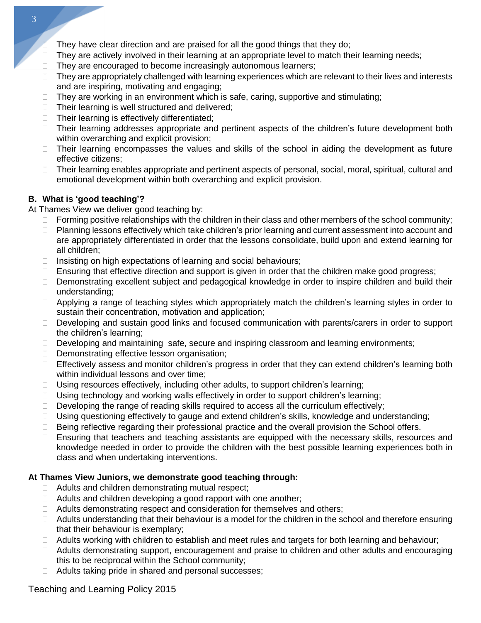- They have clear direction and are praised for all the good things that they do;
- $\Box$  They are actively involved in their learning at an appropriate level to match their learning needs;
- $\Box$  They are encouraged to become increasingly autonomous learners;
- $\Box$  They are appropriately challenged with learning experiences which are relevant to their lives and interests and are inspiring, motivating and engaging;
- $\Box$  They are working in an environment which is safe, caring, supportive and stimulating;
- $\Box$  Their learning is well structured and delivered;
- $\Box$  Their learning is effectively differentiated:
- $\Box$  Their learning addresses appropriate and pertinent aspects of the children's future development both within overarching and explicit provision;
- $\Box$  Their learning encompasses the values and skills of the school in aiding the development as future effective citizens;
- □ Their learning enables appropriate and pertinent aspects of personal, social, moral, spiritual, cultural and emotional development within both overarching and explicit provision.

# **B. What is 'good teaching'?**

At Thames View we deliver good teaching by:

- $\Box$  Forming positive relationships with the children in their class and other members of the school community;
- □ Planning lessons effectively which take children's prior learning and current assessment into account and are appropriately differentiated in order that the lessons consolidate, build upon and extend learning for all children;
- $\Box$  Insisting on high expectations of learning and social behaviours;
- $\Box$  Ensuring that effective direction and support is given in order that the children make good progress;
- Demonstrating excellent subject and pedagogical knowledge in order to inspire children and build their understanding;
- $\Box$  Applying a range of teaching styles which appropriately match the children's learning styles in order to sustain their concentration, motivation and application;
- Developing and sustain good links and focused communication with parents/carers in order to support the children's learning;
- Developing and maintaining safe, secure and inspiring classroom and learning environments;
- Demonstrating effective lesson organisation;
- □ Effectively assess and monitor children's progress in order that they can extend children's learning both within individual lessons and over time;
- $\Box$  Using resources effectively, including other adults, to support children's learning;
- $\Box$  Using technology and working walls effectively in order to support children's learning;
- $\Box$  Developing the range of reading skills required to access all the curriculum effectively;
- $\Box$  Using questioning effectively to gauge and extend children's skills, knowledge and understanding;
- □ Being reflective regarding their professional practice and the overall provision the School offers.
- □ Ensuring that teachers and teaching assistants are equipped with the necessary skills, resources and knowledge needed in order to provide the children with the best possible learning experiences both in class and when undertaking interventions.

# **At Thames View Juniors, we demonstrate good teaching through:**

- $\Box$  Adults and children demonstrating mutual respect;
- $\Box$  Adults and children developing a good rapport with one another;
- □ Adults demonstrating respect and consideration for themselves and others;
- $\Box$  Adults understanding that their behaviour is a model for the children in the school and therefore ensuring that their behaviour is exemplary;
- $\Box$  Adults working with children to establish and meet rules and targets for both learning and behaviour;
- $\Box$  Adults demonstrating support, encouragement and praise to children and other adults and encouraging this to be reciprocal within the School community;
- □ Adults taking pride in shared and personal successes;

# Teaching and Learning Policy 2015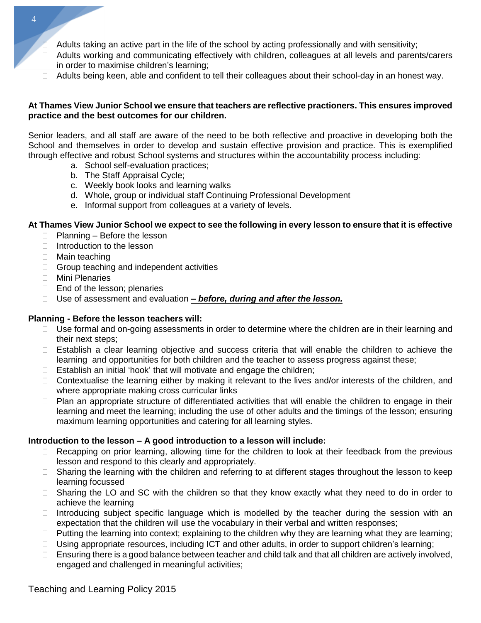- Adults taking an active part in the life of the school by acting professionally and with sensitivity;
- □ Adults working and communicating effectively with children, colleagues at all levels and parents/carers in order to maximise children's learning;
- $\Box$  Adults being keen, able and confident to tell their colleagues about their school-day in an honest way.

#### **At Thames View Junior School we ensure that teachers are reflective practioners. This ensures improved practice and the best outcomes for our children.**

Senior leaders, and all staff are aware of the need to be both reflective and proactive in developing both the School and themselves in order to develop and sustain effective provision and practice. This is exemplified through effective and robust School systems and structures within the accountability process including:

- a. School self-evaluation practices;
- b. The Staff Appraisal Cycle;
- c. Weekly book looks and learning walks
- d. Whole, group or individual staff Continuing Professional Development
- e. Informal support from colleagues at a variety of levels.

#### At Thames View Junior School we expect to see the following in every lesson to ensure that it is effective

- $\Box$  Planning Before the lesson
- $\Box$  Introduction to the lesson
- □ Main teaching
- $\Box$  Group teaching and independent activities
- Mini Plenaries
- $\Box$  End of the lesson; plenaries
- Use of assessment and evaluation *– before, during and after the lesson.*

#### **Planning - Before the lesson teachers will:**

- $\Box$  Use formal and on-going assessments in order to determine where the children are in their learning and their next steps;
- □ Establish a clear learning objective and success criteria that will enable the children to achieve the learning and opportunities for both children and the teacher to assess progress against these;
- $\Box$  Establish an initial 'hook' that will motivate and engage the children;
- □ Contextualise the learning either by making it relevant to the lives and/or interests of the children, and where appropriate making cross curricular links
- $\Box$  Plan an appropriate structure of differentiated activities that will enable the children to engage in their learning and meet the learning; including the use of other adults and the timings of the lesson; ensuring maximum learning opportunities and catering for all learning styles.

#### **Introduction to the lesson – A good introduction to a lesson will include:**

- $\Box$  Recapping on prior learning, allowing time for the children to look at their feedback from the previous lesson and respond to this clearly and appropriately.
- □ Sharing the learning with the children and referring to at different stages throughout the lesson to keep learning focussed
- □ Sharing the LO and SC with the children so that they know exactly what they need to do in order to achieve the learning
- $\Box$  Introducing subject specific language which is modelled by the teacher during the session with an expectation that the children will use the vocabulary in their verbal and written responses;
- $\Box$  Putting the learning into context; explaining to the children why they are learning what they are learning;
- $\Box$  Using appropriate resources, including ICT and other adults, in order to support children's learning;
- $\Box$  Ensuring there is a good balance between teacher and child talk and that all children are actively involved, engaged and challenged in meaningful activities;

4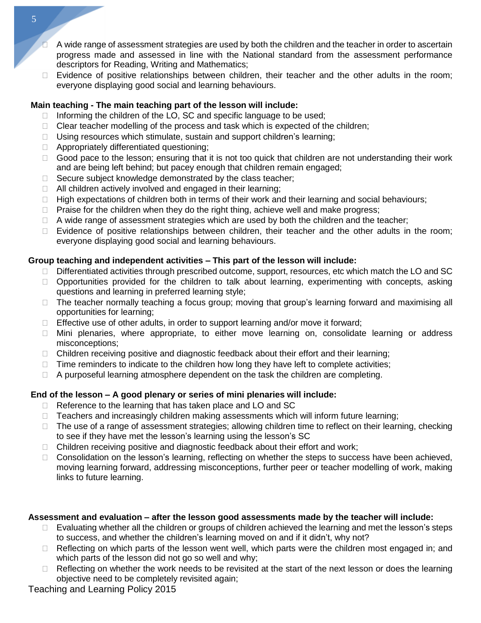- A wide range of assessment strategies are used by both the children and the teacher in order to ascertain progress made and assessed in line with the National standard from the assessment performance descriptors for Reading, Writing and Mathematics;
- $\Box$  Evidence of positive relationships between children, their teacher and the other adults in the room; everyone displaying good social and learning behaviours.

## **Main teaching - The main teaching part of the lesson will include:**

- $\Box$  Informing the children of the LO, SC and specific language to be used;
- $\Box$  Clear teacher modelling of the process and task which is expected of the children;
- $\Box$  Using resources which stimulate, sustain and support children's learning;
- $\Box$  Appropriately differentiated questioning;
- $\Box$  Good pace to the lesson; ensuring that it is not too quick that children are not understanding their work and are being left behind; but pacey enough that children remain engaged;
- $\Box$  Secure subject knowledge demonstrated by the class teacher;
- $\Box$  All children actively involved and engaged in their learning;
- $\Box$  High expectations of children both in terms of their work and their learning and social behaviours;
- $\Box$  Praise for the children when they do the right thing, achieve well and make progress;
- $\Box$  A wide range of assessment strategies which are used by both the children and the teacher;
- $\Box$  Evidence of positive relationships between children, their teacher and the other adults in the room; everyone displaying good social and learning behaviours.

### **Group teaching and independent activities – This part of the lesson will include:**

- $\Box$  Differentiated activities through prescribed outcome, support, resources, etc which match the LO and SC
- □ Opportunities provided for the children to talk about learning, experimenting with concepts, asking questions and learning in preferred learning style;
- □ The teacher normally teaching a focus group; moving that group's learning forward and maximising all opportunities for learning;
- $\Box$  Effective use of other adults, in order to support learning and/or move it forward;
- □ Mini plenaries, where appropriate, to either move learning on, consolidate learning or address misconceptions;
- □ Children receiving positive and diagnostic feedback about their effort and their learning;
- $\Box$  Time reminders to indicate to the children how long they have left to complete activities;
- $\Box$  A purposeful learning atmosphere dependent on the task the children are completing.

# **End of the lesson – A good plenary or series of mini plenaries will include:**

- □ Reference to the learning that has taken place and LO and SC
- $\Box$  Teachers and increasingly children making assessments which will inform future learning;
- $\Box$  The use of a range of assessment strategies; allowing children time to reflect on their learning, checking to see if they have met the lesson's learning using the lesson's SC
- $\Box$  Children receiving positive and diagnostic feedback about their effort and work;
- $\Box$  Consolidation on the lesson's learning, reflecting on whether the steps to success have been achieved, moving learning forward, addressing misconceptions, further peer or teacher modelling of work, making links to future learning.

# **Assessment and evaluation – after the lesson good assessments made by the teacher will include:**

- $\Box$  Evaluating whether all the children or groups of children achieved the learning and met the lesson's steps to success, and whether the children's learning moved on and if it didn't, why not?
- $\Box$  Reflecting on which parts of the lesson went well, which parts were the children most engaged in; and which parts of the lesson did not go so well and why;
- $\Box$  Reflecting on whether the work needs to be revisited at the start of the next lesson or does the learning objective need to be completely revisited again;

Teaching and Learning Policy 2015